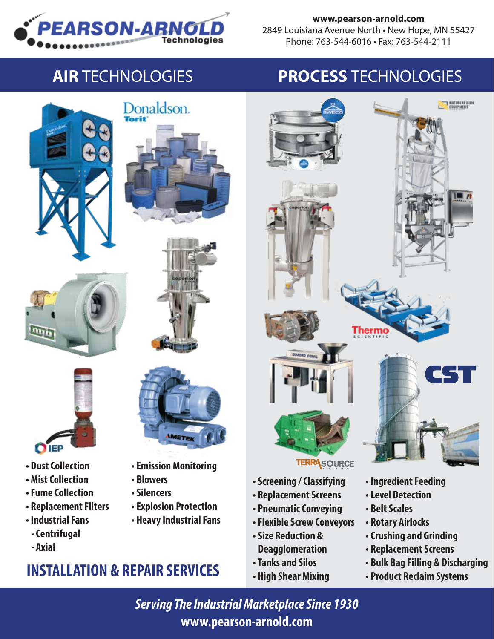

#### **www.pearson-arnold.com** 2849 Louisiana Avenue North • New Hope, MN 55427 Phone: 763-544-6016 • Fax: 763-544-2111

# **AIR** TECHNOLOGIES **PROCESS** TECHNOLOGIES











- **Dust Collection**
- **Mist Collection**
- **Fume Collection**
- **Replacement Filters**
- **Industrial Fans**
- **Centrifugal**
- **Axial**



- **Emission Monitoring**
- **Blowers**
- **Silencers**
- **Explosion Protection**
- **Heavy Industrial Fans**

### **INSTALLATION & REPAIR SERVICES**



- **Screening / Classifying**
- **Replacement Screens**
- **Pneumatic Conveying**
- **Flexible Screw Conveyors**
- **Size Reduction & Deagglomeration**
- **Tanks and Silos**
- **High Shear Mixing**
- **Ingredient Feeding**
- **Level Detection**
- **Belt Scales**
- **Rotary Airlocks**
- **Crushing and Grinding**
- **Replacement Screens**
- **Bulk Bag Filling & Discharging**
- **Product Reclaim Systems**

*Serving The Industrial Marketplace Since 1930* **www.pearson-arnold.com**